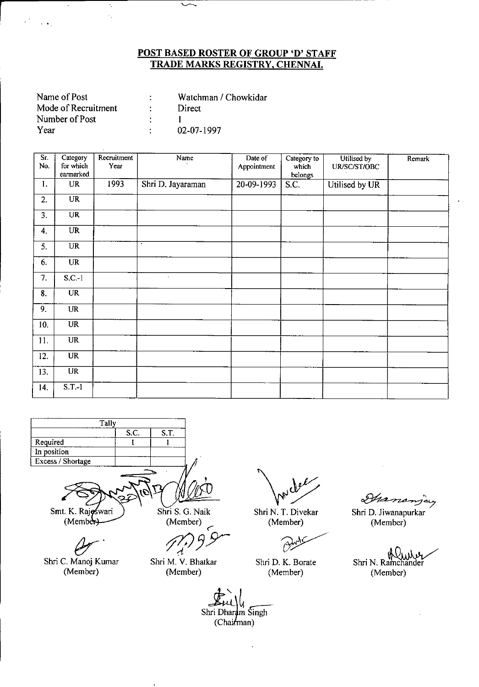| Name of Post        | Watchman / Chowkidar |
|---------------------|----------------------|
| Mode of Recruitment | Direct.              |
| Number of Post      |                      |
| Year                | 02-07-1997           |

 $\hat{\mathcal{L}}$  $\hat{\boldsymbol{\cdot}^{\mathcal{A}}}$ 

 $\sim$   $\bullet$  .

| Sr.<br>No.       | Category<br>for which<br>earmarked | Recruitment<br>Year | Name              | Date of<br>Appointment | Category to<br>which<br>belongs | Utilised by<br>UR/SC/ST/OBC | Remark    |
|------------------|------------------------------------|---------------------|-------------------|------------------------|---------------------------------|-----------------------------|-----------|
| 1.               | UR                                 | 1993                | Shri D. Jayaraman | $20-09-1993$           | S.C.                            | Utilised by UR              |           |
| 2.               | <b>UR</b>                          |                     |                   |                        |                                 |                             |           |
| $\overline{3}$ . | <b>UR</b>                          |                     |                   |                        |                                 |                             |           |
| $\mathbf{4}$ .   | <b>UR</b>                          |                     |                   |                        |                                 |                             |           |
| 5.               | <b>UR</b>                          |                     | $\bullet$         |                        |                                 |                             |           |
| 6.               | <b>UR</b>                          |                     |                   |                        |                                 |                             |           |
| 7.               | $S.C.-1$                           |                     | $\bullet$         |                        |                                 |                             |           |
| 8.               | <b>UR</b>                          |                     |                   |                        |                                 |                             |           |
| 9.               | <b>UR</b>                          |                     |                   |                        |                                 |                             |           |
| 10.              | <b>UR</b>                          |                     |                   |                        |                                 |                             | $\lambda$ |
| 11.              | <b>UR</b>                          |                     |                   |                        |                                 |                             |           |
| 12.              | <b>UR</b>                          |                     |                   |                        |                                 |                             |           |
| 13.              | $\overline{\text{UR}}$             |                     |                   |                        |                                 |                             |           |
| 14.              | $S.T.-1$                           |                     |                   |                        |                                 |                             |           |



Smt. K. Rajoswari  $(Member)$ 

Shri S. G. Naik

(Member)<br>*7<sup>1</sup>*/*9 9* <

 $Q_{\mathcal{F}}$ . Shri C. Manoj Kumar (Member)

Shri M. V. Bhatkar (Member)

muller

Shri N. T. Divekar (Member)

Ć7

Shri D. K. Borate (Member)

<u>ځہ</u> برمة rro

Shri D. Jiwanapurkar (Member)

Shri N. Ramchander (Member)

Shri Dharam Singh (Chairman)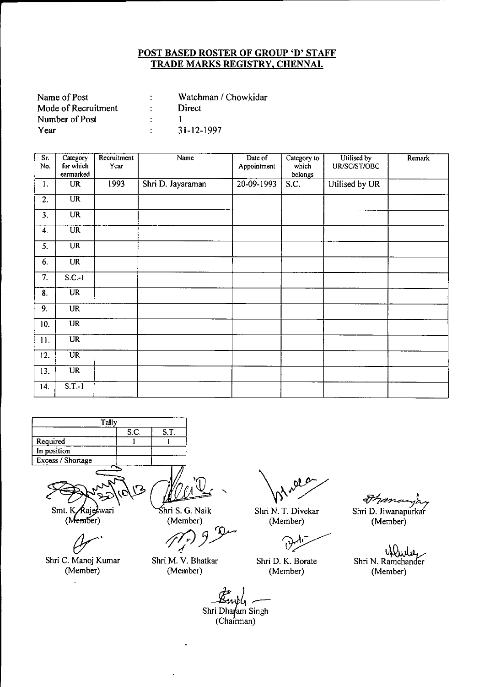| Name of Post        | Watchman / Chowkidar |
|---------------------|----------------------|
| Mode of Recruitment | Direct               |
| Number of Post      |                      |
| Year                | $31 - 12 - 1997$     |

| Sr.<br>No. | Category<br>for which  | Recruitment<br>Year | Name              | Date of<br>Appointment | Category to<br>which | Utilised by<br>UR/SC/ST/OBC | Remark |
|------------|------------------------|---------------------|-------------------|------------------------|----------------------|-----------------------------|--------|
|            | earmarked              |                     |                   |                        | belongs              |                             |        |
| 1.         | <b>UR</b>              | 1993                | Shri D. Jayaraman | 20-09-1993             | S.C.                 | Utilised by UR              |        |
| 2.         | $\overline{\text{UR}}$ |                     |                   |                        |                      |                             |        |
| 3.         | <b>UR</b>              |                     |                   |                        |                      |                             |        |
| 4.         | $\overline{\text{UR}}$ |                     |                   |                        |                      |                             |        |
| 5.         | <b>UR</b>              |                     |                   |                        |                      |                             |        |
| 6.         | <b>UR</b>              |                     |                   |                        |                      |                             |        |
| 7.         | $S.C.-1$               |                     |                   |                        |                      |                             |        |
| 8.         | $\overline{\text{UR}}$ |                     |                   |                        |                      |                             |        |
| 9.         | UR                     |                     |                   |                        |                      |                             |        |
| 10.        | $\overline{\text{UR}}$ |                     |                   |                        |                      |                             |        |
| 11.        | <b>UR</b>              |                     |                   |                        |                      |                             |        |
| 12.        | <b>UR</b>              |                     |                   |                        |                      |                             |        |
| 13.        | UR                     |                     |                   |                        |                      |                             |        |
| 14.        | $S.T.-1$               |                     |                   |                        |                      |                             |        |



Smt. K Rajeswari

(Member)

Shri C. Manoj Kumar (Member)

hri S. G. Naik (Member)

*~JY--*  $\mathcal{L}$ 

Shri M. V. Bhatkar (Member)

 $ol$ 

Shri N. T. Divekar (Member)

Shri D. K. Borate (Member)

*~d~~* Shri D. Jiwanapurkar

(Member)

Shri N. Ramchander (Member)

 $\frac{1}{2}$ Shri Dharam Singh  $(Chairman)$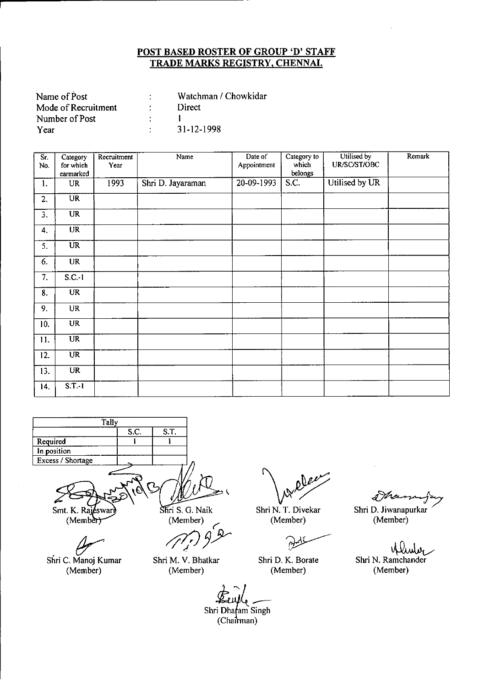| Name of Post        | Watchman / Chowkidar |
|---------------------|----------------------|
| Mode of Recruitment | Direct               |
| Number of Post      |                      |
| Year                | 31-12-1998           |

| $\overline{\mathsf{Sr}}$ .<br>No. | Category<br>for which  | Recruitment<br>Year | Name              | Date of<br>Appointment | Category to<br>which | Utilised by<br>UR/SC/ST/OBC | Remark |
|-----------------------------------|------------------------|---------------------|-------------------|------------------------|----------------------|-----------------------------|--------|
|                                   | earmarked              |                     |                   |                        | belongs              |                             |        |
| 1.                                | <b>UR</b>              | 1993                | Shri D. Jayaraman | 20-09-1993             | S.C.                 | Utilised by UR              |        |
| 2.                                | $\overline{\text{UR}}$ |                     |                   |                        |                      |                             |        |
| 3.                                | <b>UR</b>              |                     |                   |                        |                      |                             |        |
| 4.                                | $\overline{\text{UR}}$ |                     |                   |                        |                      |                             |        |
| 5.                                | <b>UR</b>              |                     |                   |                        |                      |                             |        |
| 6.                                | <b>UR</b>              |                     |                   |                        |                      |                             |        |
| 7.                                | $S.C.-1$               |                     |                   |                        |                      |                             |        |
| 8.                                | $\overline{\text{UR}}$ |                     |                   |                        |                      |                             |        |
| 9.                                | <b>UR</b>              |                     |                   |                        |                      |                             |        |
| 10.                               | $\overline{\text{UR}}$ |                     |                   |                        |                      |                             |        |
| 11.                               | $\overline{\text{UR}}$ |                     |                   |                        |                      |                             |        |
| 12.                               | $\overline{UR}$        |                     |                   |                        |                      |                             |        |
| 13.                               | <b>UR</b>              |                     |                   |                        |                      |                             |        |
| 14.                               | $S.T.-1$               |                     |                   |                        |                      |                             |        |



Smt. K. Rajeswar<br>(Member)

Shri C. Manoj Kumar (Member)

Shri S. G. Naik (Member)

*ij1fJ37*

Shri M. V. Bhatkar (Member)

oles

Shri N. T. Divekar (Member)

M

Shri D. K. Borate (Member)

d We

Shri D. Jiwanapurkar (Member)

~ Shri N. Ramchander (Member)

Shri Dharam Singh (Chairman)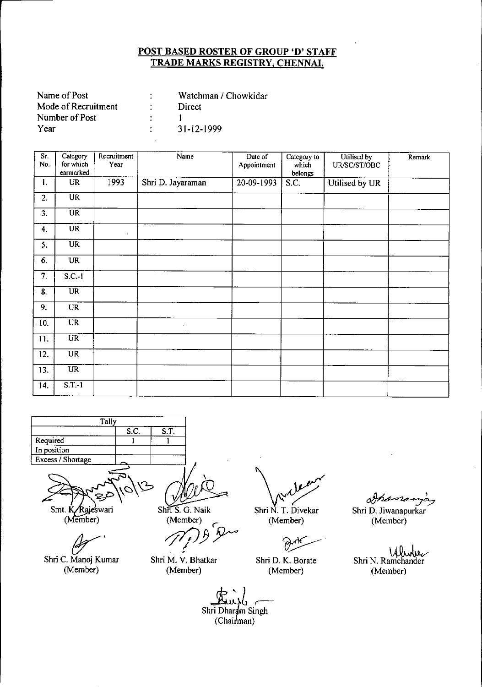| Watchman / Chowkidar |
|----------------------|
| Direct               |
|                      |
| $31 - 12 - 1999$     |
|                      |

| Sr.<br>No.     | Category<br>for which  | Recruitment<br>Year | Name              | Date of     | Category to      | Utilised by    | Remark |
|----------------|------------------------|---------------------|-------------------|-------------|------------------|----------------|--------|
|                | earmarked              |                     |                   | Appointment | which<br>belongs | UR/SC/ST/OBC   |        |
| $\mathbf{I}$ . | <b>UR</b>              | 1993                | Shri D. Jayaraman | 20-09-1993  | S.C.             | Utilised by UR |        |
| 2.             | $\overline{\text{UR}}$ |                     |                   |             |                  |                |        |
| 3.             | <b>UR</b>              |                     |                   |             |                  |                |        |
| 4.             | <b>UR</b>              | $\bullet$           |                   |             |                  |                |        |
| 5.             | $\overline{UR}$        |                     |                   |             |                  |                |        |
| 6.             | UR                     |                     |                   |             |                  |                |        |
| 7.             | $S.C.-1$               |                     |                   |             |                  |                |        |
| 8.             | $\overline{\text{UR}}$ |                     |                   |             |                  |                |        |
| 9.             | <b>UR</b>              |                     |                   |             |                  |                |        |
| 10.            | <b>UR</b>              |                     | $\bullet$         |             |                  |                |        |
| 11.            | UR                     |                     |                   |             |                  |                |        |
| 12.            | <b>UR</b>              |                     |                   |             |                  |                |        |
| 13.            | $\overline{\text{UR}}$ |                     |                   |             |                  |                |        |
| 14.            | $S.T.-1$               |                     |                   |             |                  |                |        |



Shri C. Manoj Kumar (Member)

 $\overline{\text{Shn S. G. Naik}}$ 

(Member) *gr' 0J)r*

Shri M. V. Bhatkar (Member)

Shri N. T. Divekar (Member)

~.

Shri D. K. Borate (Member)

<u> 1</u>

Shri D. Jiwanapurkar (Member)

Shri N. Ramchander (Member)

 $\lim_{\mu\to 0}$  -Shri Dharam Singh (Chairman)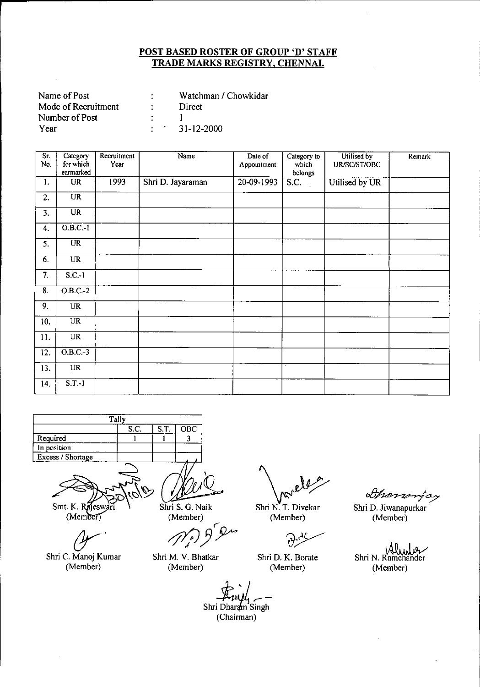| Name of Post        |                                 | Watchman / Chowkidar    |
|---------------------|---------------------------------|-------------------------|
| Mode of Recruitment | $\mathcal{F}$ and $\mathcal{F}$ | Direct                  |
| Number of Post      |                                 |                         |
| Year                |                                 | $\therefore$ 31-12-2000 |

| Sr.<br>No. | Category<br>for which  | Recruitment<br>Year | Name              | Date of     | Category to<br>which | Utilised by<br>UR/SC/ST/OBC | Remark |
|------------|------------------------|---------------------|-------------------|-------------|----------------------|-----------------------------|--------|
|            | earmarked              |                     |                   | Appointment | belongs              |                             |        |
| 1.         | UR                     | 1993                | Shri D. Jayaraman | 20-09-1993  | S.C.                 | Utilised by UR              |        |
| 2.         | $\overline{\text{UR}}$ |                     |                   |             |                      |                             |        |
| 3.         | $\overline{UR}$        |                     |                   |             |                      |                             |        |
| 4.         | $0.B.C.-1$             |                     |                   |             |                      |                             |        |
| 5.         | UR                     |                     |                   |             |                      |                             |        |
| 6.         | <b>UR</b>              |                     |                   |             |                      |                             |        |
| 7.         | $S.C.-1$               |                     |                   |             |                      |                             |        |
| 8.         | $O.B.C.-2$             |                     |                   |             |                      |                             |        |
| 9.         | <b>UR</b>              |                     |                   |             |                      |                             |        |
| 10.        | <b>UR</b>              |                     |                   |             |                      |                             |        |
| 11.        | $\overline{\text{UR}}$ |                     |                   |             |                      |                             |        |
| 12.        | $0.B.C.-3$             |                     |                   |             |                      |                             |        |
| 13.        | $\overline{UR}$        |                     |                   |             | τ                    |                             |        |
| 14.        | $S.T.-1$               |                     |                   |             |                      |                             |        |



Smt. K. Rajeswari

*(Y'* Shri C. Manoj Kumar (Member)

Shri S. G. Naik

(Member)<br>*(1)*<br>*}*  $\epsilon$ 

Shri M. V. Bhatkar (Member)

Shri N. T. Divekar (Member)

Ū

Shri D. K. Borate (Member)

Shanonjay

Shri D. Jiwanapurkar (Member)

Ww سرور ا Shri N. Ramchander (Member)

Shri Dharam Singh (Chairman)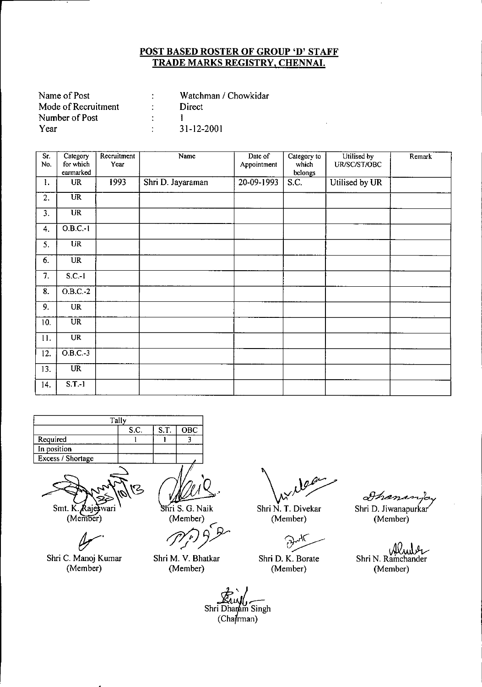| Name of Post        | Watchman / Chowkidar |
|---------------------|----------------------|
| Mode of Recruitment | Direct               |
| Number of Post      |                      |
| Year                | 31-12-2001           |

| Sr.<br>No. | Category<br>for which  | Recruitment<br>Year | Name              | Date of<br>Appointment | Category to<br>which | Utilised by<br>UR/SC/ST/OBC | Remark |
|------------|------------------------|---------------------|-------------------|------------------------|----------------------|-----------------------------|--------|
|            | earmarked              |                     |                   |                        | belongs              |                             |        |
| 1.         | <b>UR</b>              | 1993                | Shri D. Jayaraman | 20-09-1993             | S.C.                 | Utilised by UR              |        |
| 2.         | $\overline{\text{UR}}$ |                     |                   |                        |                      |                             |        |
| 3.         | $\overline{\text{UR}}$ |                     |                   |                        |                      |                             |        |
| 4.         | $O.B.C.-1$             |                     |                   |                        |                      |                             |        |
| 5.         | <b>UR</b>              |                     |                   |                        |                      |                             |        |
| 6.         | <b>UR</b>              |                     |                   |                        |                      |                             |        |
| 7.         | $S.C.-1$               |                     |                   |                        |                      |                             |        |
| 8.         | $O.B.C.-2$             |                     |                   |                        |                      |                             |        |
| 9.         | UR                     |                     |                   |                        |                      |                             |        |
| 10.        | $\overline{\text{UR}}$ |                     |                   |                        |                      |                             |        |
| 11.        | <b>UR</b>              |                     |                   |                        |                      |                             |        |
| 12.        | $O.B.C.-3$             |                     |                   |                        |                      |                             |        |
| 13.        | $\overline{\text{UR}}$ |                     |                   |                        |                      |                             |        |
| 14.        | $S.T.-1$               |                     |                   |                        |                      |                             |        |

|                               | Tally           |      |                           |
|-------------------------------|-----------------|------|---------------------------|
|                               | S.C.            | S.T. | OBC                       |
| Required                      |                 |      |                           |
| In position                   |                 |      |                           |
| Excess / Shortage             |                 |      |                           |
| Smt. K. Rajeswari<br>(Member) | $\mathcal{C}_2$ |      | Shri S. G. Na<br>(Member) |

Shri C. Manoj Kumar (Member)

.'  $M \leq \frac{1}{\pi}$ <br>
(Member)<br>  $M \leq \frac{1}{\pi}$ 

hri S. G. Naik  $(Member)$ 

Shri M. V. Bhatkar (Member)

 $\int_{\mathcal{X}}\left| \mathcal{Y}^{\text{per}}\right|$ 

Shri N. T. Divekar (Member)

 $\mathcal{C}$ 

Shri D. K. Borate (Member)

*Ahanary*o<br>Shri D. Jiwanapurkar

(Member)

Shri N. Ramchander (Member)

Shri Dharam Singh (Chafrman)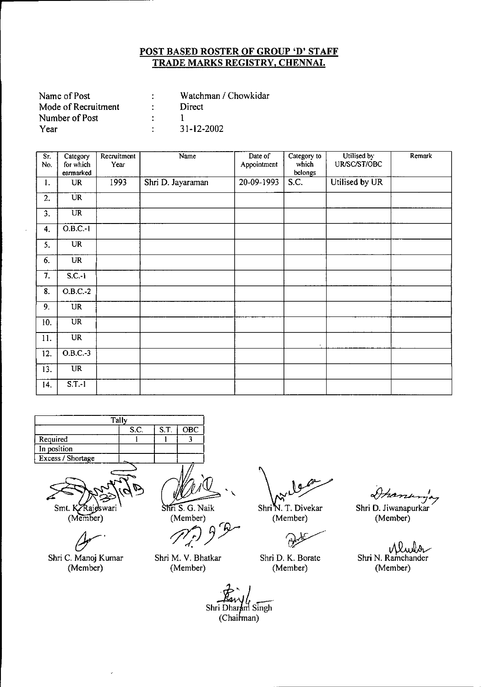| Name of Post        | Watchman / Chowkidar |
|---------------------|----------------------|
| Mode of Recruitment | Direct               |
| Number of Post      |                      |
| Year                | 31-12-2002           |

| $\overline{\text{Sr}}$<br>No. | Category<br>for which  | Recruitment<br>Year | Name              | Date of<br>Appointment | Category to<br>which | Utilised by<br>UR/SC/ST/OBC | Remark |
|-------------------------------|------------------------|---------------------|-------------------|------------------------|----------------------|-----------------------------|--------|
|                               | earmarked              |                     |                   |                        | belongs              |                             |        |
| 1.                            | <b>UR</b>              | 1993                | Shri D. Jayaraman | 20-09-1993             | S.C.                 | Utilised by UR              |        |
| 2.                            | $\overline{\text{UR}}$ |                     |                   |                        |                      |                             |        |
| 3.                            | $\overline{UR}$        |                     |                   |                        |                      |                             |        |
| 4.                            | $O.B.C.-1$             |                     |                   |                        |                      |                             |        |
| 5.                            | <b>UR</b>              |                     |                   |                        |                      |                             |        |
| 6.                            | <b>UR</b>              |                     |                   |                        |                      |                             |        |
| 7.                            | S.C.1                  |                     |                   |                        |                      |                             |        |
| 8.                            | $O.B.C.-2$             |                     |                   |                        |                      |                             |        |
| 9.                            | UR                     |                     |                   |                        |                      |                             |        |
| 10.                           | $\overline{UR}$        |                     |                   |                        |                      |                             |        |
| 11.                           | <b>UR</b>              |                     |                   |                        | $\blacksquare$       |                             |        |
| 12.                           | $O.B.C.-3$             |                     |                   |                        |                      |                             |        |
| 13.                           | <b>UR</b>              |                     |                   |                        |                      |                             |        |
| 14.                           | $ST-1$                 |                     |                   |                        |                      |                             |        |

| Tally               |  |  |  |  |  |  |  |
|---------------------|--|--|--|--|--|--|--|
| S.C.<br>S.T.<br>OBC |  |  |  |  |  |  |  |
| Required            |  |  |  |  |  |  |  |
| In position         |  |  |  |  |  |  |  |
| Excess / Shortage   |  |  |  |  |  |  |  |
|                     |  |  |  |  |  |  |  |

Smt. K Rajeswari<br>(Member)

Shri C. Manoj Kumar (Member)

, ,

Shri S. G. Naik

(Member) *~)ry* ..

Shri M. V. Bhatkar (Member)

Shri<sup>K</sup>. T. Divekar (Member) (Member)

ſŻ

Shri D. K. Borate (Member)

*~A* o*l Hannenga*<br>Shri D. Jiwanapurkar

Shri N. Ramchander (Member)

Shri Dharam Singh (Chairman)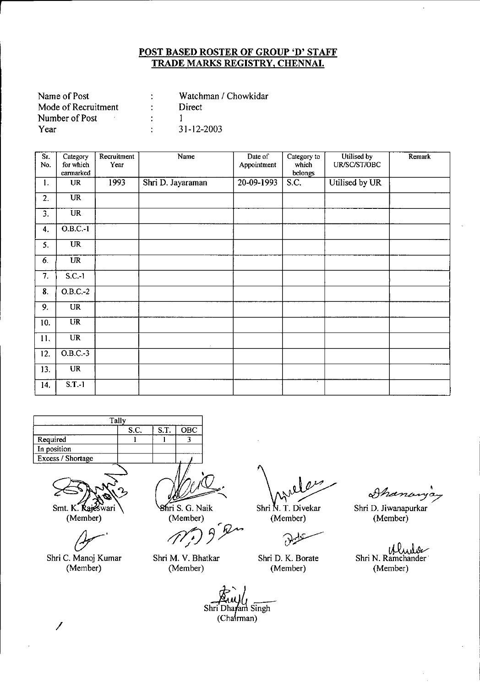| Name of Post        | Watchman / Chowkidar |
|---------------------|----------------------|
| Mode of Recruitment | Direct               |
| Number of Post      |                      |
| Year                | 31-12-2003           |

| Sr. | Category               | Recruitment | Name              | Date of      | Category to       | Utilised by    | Remark |
|-----|------------------------|-------------|-------------------|--------------|-------------------|----------------|--------|
| No. | for which              | Year        |                   | Appointment  | which             | UR/SC/ST/OBC   |        |
|     | earmarked              |             |                   |              | belongs           |                |        |
| 1.  | <b>UR</b>              | 1993        | Shri D. Jayaraman | $20-09-1993$ | $\overline{S.C.}$ | Utilised by UR |        |
| 2.  | <b>UR</b>              |             |                   |              |                   |                |        |
| 3.  | <b>UR</b>              |             |                   |              |                   |                |        |
| 4.  | $O.B.C.-1$             |             |                   |              |                   |                |        |
| 5.  | <b>UR</b>              |             |                   |              |                   |                |        |
| 6.  | <b>UR</b>              |             |                   |              |                   |                |        |
| 7.  | $S.C.-1$               |             |                   |              |                   |                |        |
| 8.  | $O.B.C.-2$             |             |                   |              |                   |                |        |
| 9.  | <b>UR</b>              |             |                   |              |                   |                |        |
| 10. | $\overline{\text{UR}}$ |             |                   |              |                   |                |        |
| 11. | $\overline{\text{UR}}$ |             | ×                 |              |                   |                |        |
| 12. | $O.B.C.-3$             |             |                   |              |                   |                |        |
| 13. | <b>UR</b>              |             |                   |              |                   |                |        |
| 14. | $S.T.-1$               |             |                   |              |                   |                |        |

| Tally              |  |  |  |  |  |  |
|--------------------|--|--|--|--|--|--|
| ST.<br>S.C.<br>OBC |  |  |  |  |  |  |
| Required           |  |  |  |  |  |  |
| In position        |  |  |  |  |  |  |
| Excess / Shortage  |  |  |  |  |  |  |
|                    |  |  |  |  |  |  |

Smt. K. Rajeswari

(Member)

*(Y-'* Shri C. Manoj Kumar (Member)

Shri S. G. Naik (Member)

Shri M. V. Bhatkar (Member)

Shri N. T. Divekar (Member) (Member)

Ù

Shri D. K. Borate (Member)

Shanan

Shri D. Jiwanapurkar

Shri N. Ramchander (Member)

Shri Dharam Singh (Chairman)

*I*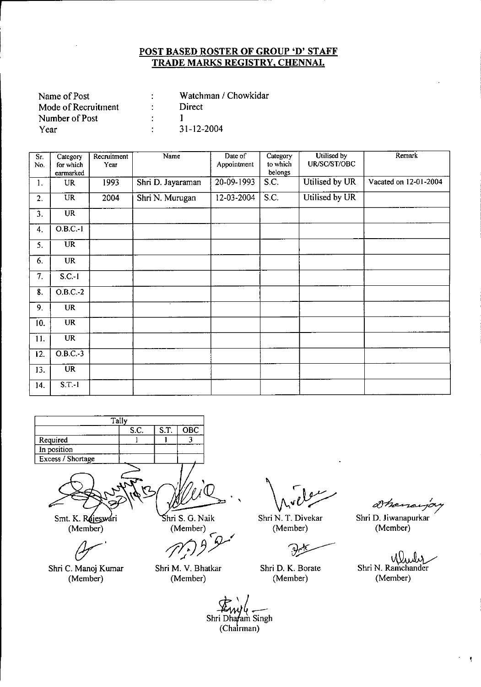| Name of Post        | Watchman / Chowkidar |
|---------------------|----------------------|
| Mode of Recruitment | Direct               |
| Number of Post      |                      |
| Year                | 31-12-2004           |

| S <sub>I</sub> | Category               | Recruitment<br>Year | Name              | Date of<br>Appointment | Category<br>to which | Utilised by<br>UR/SC/ST/OBC | Remark                |
|----------------|------------------------|---------------------|-------------------|------------------------|----------------------|-----------------------------|-----------------------|
| No.            | for which<br>earmarked |                     |                   |                        | belongs              |                             |                       |
| 1.             | <b>UR</b>              | 1993                | Shri D. Jayaraman | 20-09-1993             | S.C.                 | Utilised by UR              | Vacated on 12-01-2004 |
| 2.             | $\overline{UR}$        | 2004                | Shri N. Murugan   | 12-03-2004             | S.C.                 | Utilised by UR              |                       |
| 3.             | <b>UR</b>              |                     |                   |                        |                      |                             |                       |
| 4.             | $O.B.C.-1$             |                     |                   |                        |                      |                             |                       |
| 5.             | $\overline{\text{UR}}$ |                     |                   |                        |                      |                             |                       |
| 6.             | <b>UR</b>              |                     |                   |                        |                      |                             |                       |
| 7.             | $S.C.-1$               |                     |                   |                        |                      |                             |                       |
| 8.             | $O.B.C.-2$             |                     |                   |                        |                      |                             |                       |
| 9.             | <b>UR</b>              |                     | ٠                 |                        |                      |                             |                       |
| 10.            | <b>UR</b>              |                     |                   |                        |                      |                             |                       |
| 11.            | <b>UR</b>              |                     |                   |                        |                      |                             |                       |
| 12.            | $O.B.C.-3$             |                     |                   |                        |                      |                             |                       |
| 13.            | <b>UR</b>              |                     |                   |                        |                      |                             |                       |
| 14.            | $S.T-1$                |                     |                   |                        |                      |                             |                       |

**Tally** Required **]n osition** Excess/ Shortage S.c. I S.T. **OBC** 1 3

Smt. K. Rejeswari (Member)

*(Jr'*

Shri C. Manoj Kumar (Member)

hri S. G. Naik

(Member)<br> *{\frac{\frac{\frac{\frac{\frac{\frac{\frac{\frac{\frac{\frac{\frac{\frac{\frac{\frac{\frac{\frac{\frac{\frac{\frac{\frac{\frac{\frac{\frac{\frac{\frac{\frac{\frac{\frac{\frac{\frac{\frac{\frac{\frac{\frac{\frac{*  $\sigma$ ...

Shri M. V. Bhatkar (Member)

Shri N. T. Divekar (Member)

-9

Shri D. K. Borate (Member)

Shanarja

Shri D. Jiwanapurkar (Member)

W Shri N. Ramchander (Member)

ł,

Shri Dhafam Singh (Chairman)